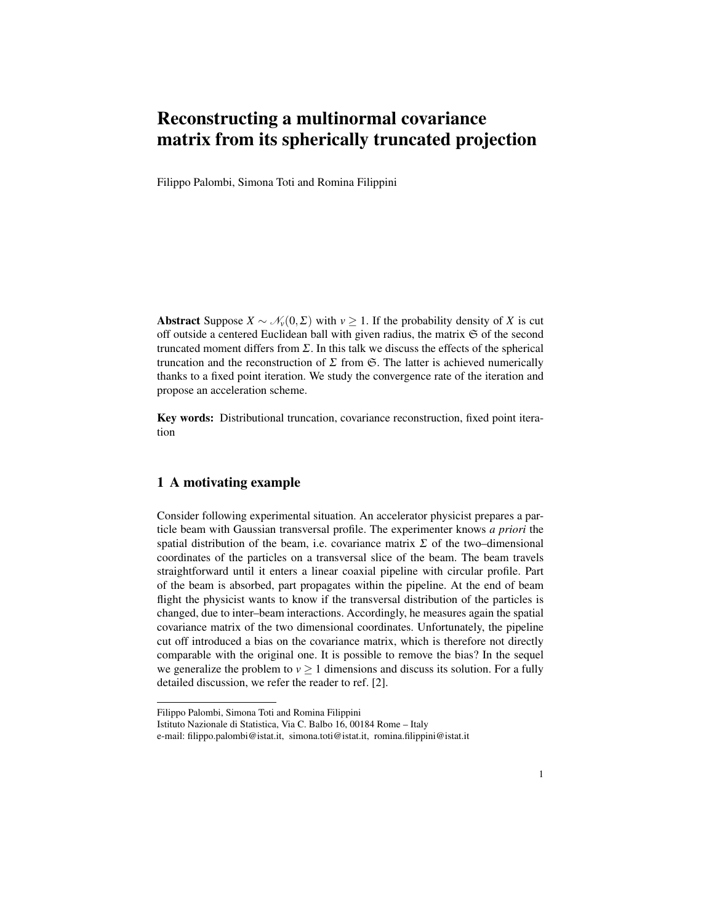# Reconstructing a multinormal covariance matrix from its spherically truncated projection

Filippo Palombi, Simona Toti and Romina Filippini

Abstract Suppose  $X \sim \mathcal{N}_v(0, \Sigma)$  with  $v \geq 1$ . If the probability density of *X* is cut off outside a centered Euclidean ball with given radius, the matrix  $\mathfrak S$  of the second truncated moment differs from Σ. In this talk we discuss the effects of the spherical truncation and the reconstruction of  $\Sigma$  from  $\mathfrak{S}$ . The latter is achieved numerically thanks to a fixed point iteration. We study the convergence rate of the iteration and propose an acceleration scheme.

Key words: Distributional truncation, covariance reconstruction, fixed point iteration

## 1 A motivating example

Consider following experimental situation. An accelerator physicist prepares a particle beam with Gaussian transversal profile. The experimenter knows *a priori* the spatial distribution of the beam, i.e. covariance matrix  $\Sigma$  of the two–dimensional coordinates of the particles on a transversal slice of the beam. The beam travels straightforward until it enters a linear coaxial pipeline with circular profile. Part of the beam is absorbed, part propagates within the pipeline. At the end of beam flight the physicist wants to know if the transversal distribution of the particles is changed, due to inter–beam interactions. Accordingly, he measures again the spatial covariance matrix of the two dimensional coordinates. Unfortunately, the pipeline cut off introduced a bias on the covariance matrix, which is therefore not directly comparable with the original one. It is possible to remove the bias? In the sequel we generalize the problem to  $v \ge 1$  dimensions and discuss its solution. For a fully detailed discussion, we refer the reader to ref. [2].

Filippo Palombi, Simona Toti and Romina Filippini

Istituto Nazionale di Statistica, Via C. Balbo 16, 00184 Rome – Italy

e-mail: filippo.palombi@istat.it, simona.toti@istat.it, romina.filippini@istat.it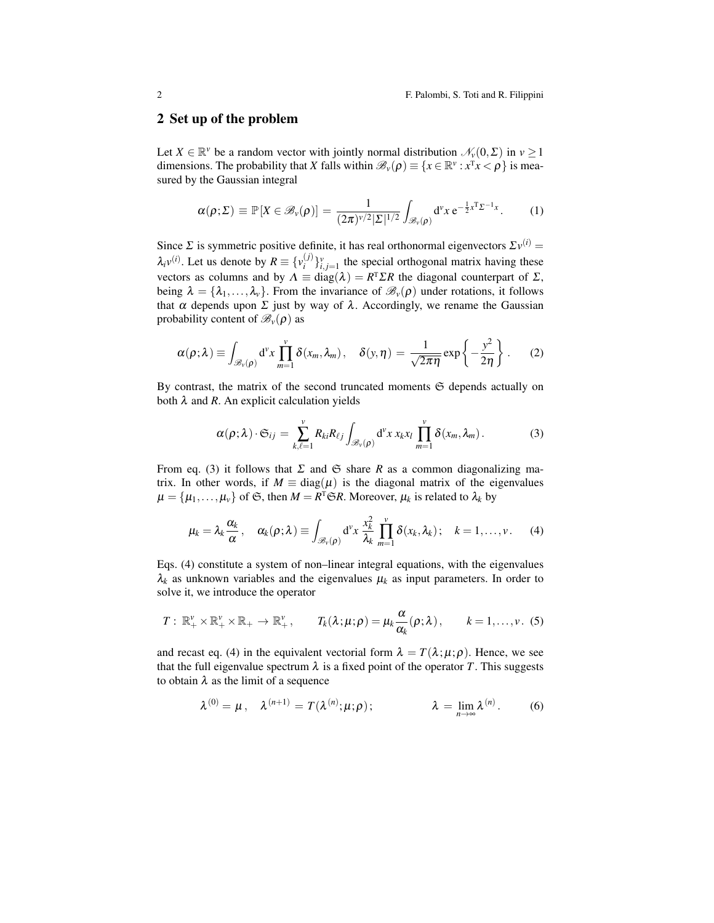#### 2 Set up of the problem

Let  $X \in \mathbb{R}^{\nu}$  be a random vector with jointly normal distribution  $\mathcal{N}_{\nu}(0,\Sigma)$  in  $\nu \geq 1$ dimensions. The probability that *X* falls within  $\mathscr{B}_{\nu}(\rho) \equiv \{x \in \mathbb{R}^{\nu} : x^{\mathsf{T}} x < \rho\}$  is measured by the Gaussian integral

$$
\alpha(\rho;\Sigma) \equiv \mathbb{P}\left[X \in \mathscr{B}_{\nu}(\rho)\right] = \frac{1}{(2\pi)^{\nu/2}|\Sigma|^{1/2}} \int_{\mathscr{B}_{\nu}(\rho)} d^{\nu}x \, e^{-\frac{1}{2}x^{T}\Sigma^{-1}x} \,. \tag{1}
$$

Since  $\Sigma$  is symmetric positive definite, it has real orthonormal eigenvectors  $\Sigma v^{(i)} =$  $\lambda_i v^{(i)}$ . Let us denote by  $R \equiv \{v_i^{(j)}\}$  $\{f_i^{(j)}\}_{i,j=1}^{\nu}$  the special orthogonal matrix having these vectors as columns and by  $\Lambda \equiv \text{diag}(\lambda) = R^T \Sigma R$  the diagonal counterpart of  $\Sigma$ , being  $\lambda = {\lambda_1, \ldots, \lambda_v}$ . From the invariance of  $\mathscr{B}_{\nu}(\rho)$  under rotations, it follows that  $\alpha$  depends upon  $\Sigma$  just by way of  $\lambda$ . Accordingly, we rename the Gaussian probability content of  $\mathscr{B}_{\nu}(\rho)$  as

$$
\alpha(\rho;\lambda) \equiv \int_{\mathscr{B}_{\nu}(\rho)} d^{\nu}x \prod_{m=1}^{\nu} \delta(x_m,\lambda_m), \quad \delta(y,\eta) = \frac{1}{\sqrt{2\pi\eta}} \exp\left\{-\frac{y^2}{2\eta}\right\}.
$$
 (2)

By contrast, the matrix of the second truncated moments  $\mathfrak S$  depends actually on both  $\lambda$  and  $R$ . An explicit calculation yields

$$
\alpha(\rho;\lambda)\cdot\mathfrak{S}_{ij}=\sum_{k,\ell=1}^v R_{ki}R_{\ell j}\int_{\mathscr{B}_v(\rho)}\mathrm{d}^v x\,x_kx_l\,\prod_{m=1}^v\delta(x_m,\lambda_m). \hspace{1cm}(3)
$$

From eq. (3) it follows that  $\Sigma$  and  $\mathfrak S$  share *R* as a common diagonalizing matrix. In other words, if  $M \equiv \text{diag}(\mu)$  is the diagonal matrix of the eigenvalues  $\mu = \{\mu_1, \ldots, \mu_\nu\}$  of  $\mathfrak{S}$ , then  $M = R^{\mathrm{T}} \mathfrak{S} R$ . Moreover,  $\mu_k$  is related to  $\lambda_k$  by

$$
\mu_k = \lambda_k \frac{\alpha_k}{\alpha}, \quad \alpha_k(\rho;\lambda) \equiv \int_{\mathscr{B}_v(\rho)} d^v x \, \frac{x_k^2}{\lambda_k} \prod_{m=1}^v \delta(x_k,\lambda_k); \quad k = 1,\ldots,v. \tag{4}
$$

Eqs. (4) constitute a system of non–linear integral equations, with the eigenvalues  $\lambda_k$  as unknown variables and the eigenvalues  $\mu_k$  as input parameters. In order to solve it, we introduce the operator

$$
T: \ \mathbb{R}^{\nu}_+ \times \mathbb{R}^{\nu}_+ \times \mathbb{R}_+ \to \mathbb{R}^{\nu}_+, \qquad T_k(\lambda; \mu; \rho) = \mu_k \frac{\alpha}{\alpha_k}(\rho; \lambda), \qquad k = 1, \ldots, \nu. \tag{5}
$$

and recast eq. (4) in the equivalent vectorial form  $\lambda = T(\lambda; \mu; \rho)$ . Hence, we see that the full eigenvalue spectrum  $\lambda$  is a fixed point of the operator *T*. This suggests to obtain  $\lambda$  as the limit of a sequence

$$
\lambda^{(0)} = \mu, \quad \lambda^{(n+1)} = T(\lambda^{(n)}; \mu; \rho); \qquad \lambda = \lim_{n \to \infty} \lambda^{(n)}.
$$
 (6)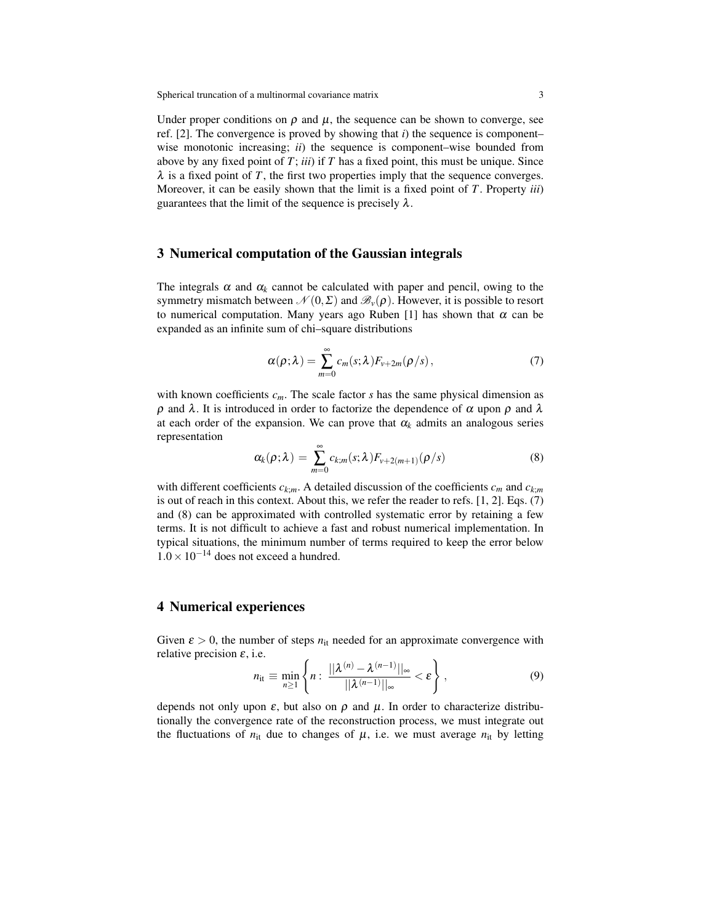Under proper conditions on  $\rho$  and  $\mu$ , the sequence can be shown to converge, see ref. [2]. The convergence is proved by showing that *i*) the sequence is component– wise monotonic increasing; *ii*) the sequence is component–wise bounded from above by any fixed point of *T*; *iii*) if *T* has a fixed point, this must be unique. Since  $\lambda$  is a fixed point of *T*, the first two properties imply that the sequence converges. Moreover, it can be easily shown that the limit is a fixed point of *T*. Property *iii*) guarantees that the limit of the sequence is precisely  $\lambda$ .

### 3 Numerical computation of the Gaussian integrals

The integrals  $\alpha$  and  $\alpha_k$  cannot be calculated with paper and pencil, owing to the symmetry mismatch between  $\mathcal{N}(0,\Sigma)$  and  $\mathscr{B}_{\nu}(\rho)$ . However, it is possible to resort to numerical computation. Many years ago Ruben [1] has shown that  $\alpha$  can be expanded as an infinite sum of chi–square distributions

$$
\alpha(\rho;\lambda) = \sum_{m=0}^{\infty} c_m(s;\lambda) F_{\nu+2m}(\rho/s), \qquad (7)
$$

with known coefficients  $c_m$ . The scale factor *s* has the same physical dimension as  $ρ$  and  $λ$ . It is introduced in order to factorize the dependence of  $α$  upon  $ρ$  and  $λ$ at each order of the expansion. We can prove that  $\alpha_k$  admits an analogous series representation

$$
\alpha_k(\rho;\lambda) = \sum_{m=0}^{\infty} c_{k;m}(s;\lambda) F_{\nu+2(m+1)}(\rho/s)
$$
\n(8)

with different coefficients  $c_{k,m}$ . A detailed discussion of the coefficients  $c_m$  and  $c_{k,m}$ is out of reach in this context. About this, we refer the reader to refs. [1, 2]. Eqs. (7) and (8) can be approximated with controlled systematic error by retaining a few terms. It is not difficult to achieve a fast and robust numerical implementation. In typical situations, the minimum number of terms required to keep the error below  $1.0 \times 10^{-14}$  does not exceed a hundred.

#### 4 Numerical experiences

Given  $\varepsilon > 0$ , the number of steps  $n_{it}$  needed for an approximate convergence with relative precision  $\varepsilon$ , i.e.

$$
n_{\rm it} \equiv \min_{n\geq 1} \left\{ n : \frac{||\boldsymbol{\lambda}^{(n)} - \boldsymbol{\lambda}^{(n-1)}||_{\infty}}{||\boldsymbol{\lambda}^{(n-1)}||_{\infty}} < \varepsilon \right\},\tag{9}
$$

depends not only upon  $\varepsilon$ , but also on  $\rho$  and  $\mu$ . In order to characterize distributionally the convergence rate of the reconstruction process, we must integrate out the fluctuations of  $n_{it}$  due to changes of  $\mu$ , i.e. we must average  $n_{it}$  by letting